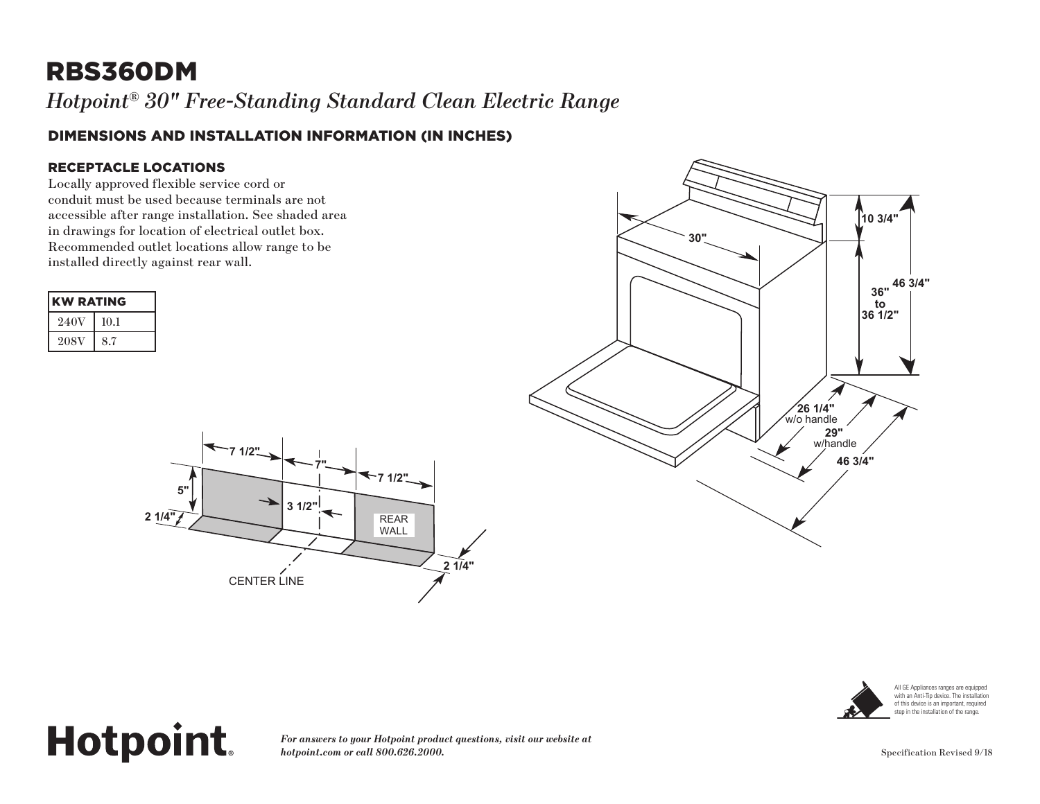## RBS360DM

*Hotpoint® 30" Free-Standing Standard Clean Electric Range*

### DIMENSIONS AND INSTALLATION INFORMATION (IN INCHES)

#### RECEPTACLE LOCATIONS

**Hotpoint.** 

Locally approved flexible service cord or conduit must be used because terminals are not accessible after range installation. See shaded area in drawings for location of electrical outlet box. Recommended outlet locations allow range to be installed directly against rear wall.

|                 | <b>KW RATING</b>                                |  |
|-----------------|-------------------------------------------------|--|
| 240V            | 10.1                                            |  |
| $208\mathrm{V}$ | O <sub>7</sub><br>$\mathcal{O}$ . $\mathcal{I}$ |  |







All GE Appliances ranges are equipped with an Anti-Tip device. The installation of this device is an important, required step in the installation of the range.

#### *For answers to your Hotpoint product questions, visit our website at hotpoint.com or call 800.626.2000.* Specification Revised 9/18